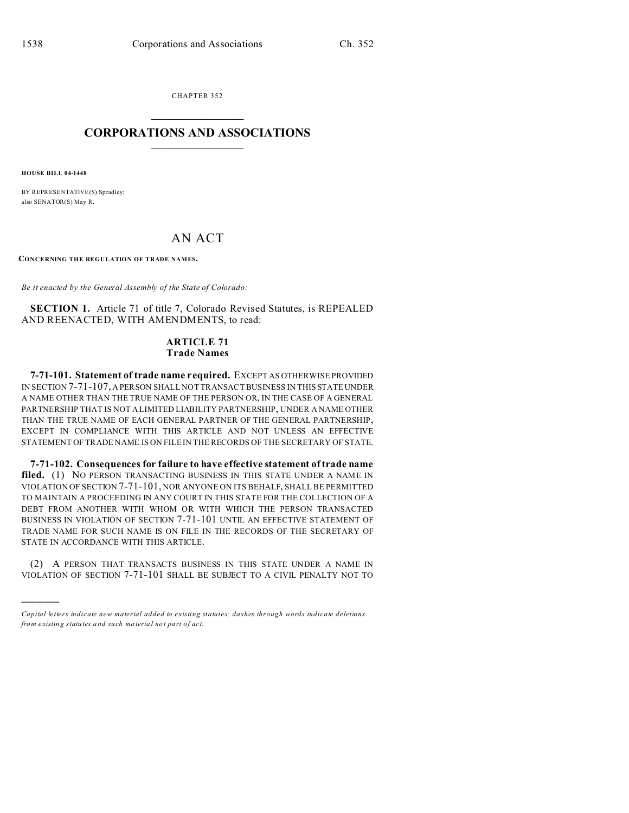CHAPTER 352  $\overline{\phantom{a}}$  , where  $\overline{\phantom{a}}$ 

## **CORPORATIONS AND ASSOCIATIONS**  $\_$   $\_$   $\_$   $\_$   $\_$   $\_$   $\_$   $\_$   $\_$

**HOUSE BILL 04-1448**

)))))

BY REPRESENTATIVE(S) Spradley; also SENATOR(S) May R.

## AN ACT

**CONCERNING THE REGULATION OF TRADE NAMES.**

*Be it enacted by the General Assembly of the State of Colorado:*

**SECTION 1.** Article 71 of title 7, Colorado Revised Statutes, is REPEALED AND REENACTED, WITH AMENDMENTS, to read:

## **ARTICLE 71 Trade Names**

**7-71-101. Statement of trade name required.** EXCEPT AS OTHERWISE PROVIDED IN SECTION 7-71-107, A PERSON SHALL NOT TRANSACT BUSINESS IN THIS STATE UNDER A NAME OTHER THAN THE TRUE NAME OF THE PERSON OR, IN THE CASE OF A GENERAL PARTNERSHIP THAT IS NOT A LIMITED LIABILITY PARTNERSHIP, UNDER A NAME OTHER THAN THE TRUE NAME OF EACH GENERAL PARTNER OF THE GENERAL PARTNERSHIP, EXCEPT IN COMPLIANCE WITH THIS ARTICLE AND NOT UNLESS AN EFFECTIVE STATEMENT OF TRADE NAME IS ON FILE IN THE RECORDS OF THE SECRETARY OF STATE.

**7-71-102. Consequences for failure to have effective statement of trade name** filed. (1) NO PERSON TRANSACTING BUSINESS IN THIS STATE UNDER A NAME IN VIOLATION OF SECTION 7-71-101, NOR ANYONE ON ITS BEHALF, SHALL BE PERMITTED TO MAINTAIN A PROCEEDING IN ANY COURT IN THIS STATE FOR THE COLLECTION OF A DEBT FROM ANOTHER WITH WHOM OR WITH WHICH THE PERSON TRANSACTED BUSINESS IN VIOLATION OF SECTION 7-71-101 UNTIL AN EFFECTIVE STATEMENT OF TRADE NAME FOR SUCH NAME IS ON FILE IN THE RECORDS OF THE SECRETARY OF STATE IN ACCORDANCE WITH THIS ARTICLE.

(2) A PERSON THAT TRANSACTS BUSINESS IN THIS STATE UNDER A NAME IN VIOLATION OF SECTION 7-71-101 SHALL BE SUBJECT TO A CIVIL PENALTY NOT TO

*Capital letters indicate new material added to existing statutes; dashes through words indicate deletions from e xistin g statu tes a nd such ma teria l no t pa rt of ac t.*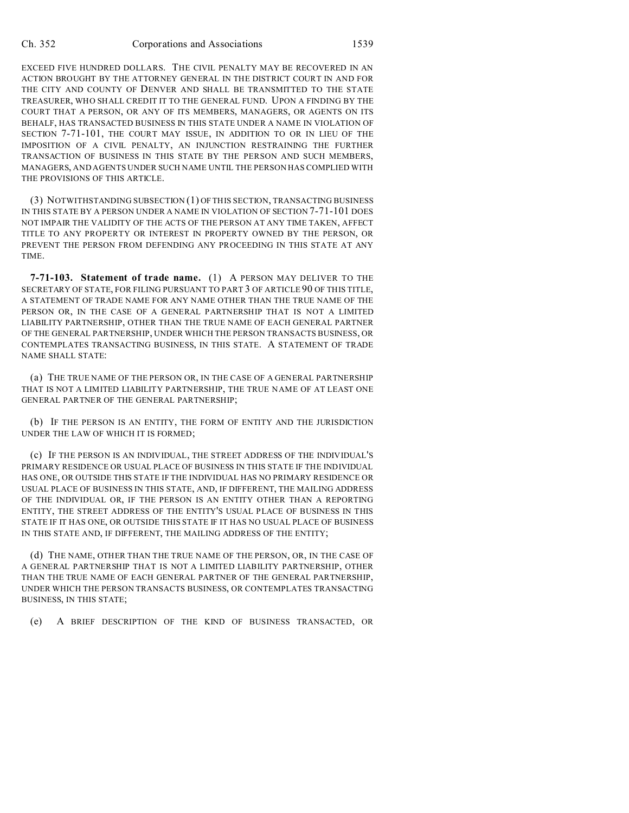EXCEED FIVE HUNDRED DOLLARS. THE CIVIL PENALTY MAY BE RECOVERED IN AN ACTION BROUGHT BY THE ATTORNEY GENERAL IN THE DISTRICT COURT IN AND FOR THE CITY AND COUNTY OF DENVER AND SHALL BE TRANSMITTED TO THE STATE TREASURER, WHO SHALL CREDIT IT TO THE GENERAL FUND. UPON A FINDING BY THE COURT THAT A PERSON, OR ANY OF ITS MEMBERS, MANAGERS, OR AGENTS ON ITS BEHALF, HAS TRANSACTED BUSINESS IN THIS STATE UNDER A NAME IN VIOLATION OF SECTION 7-71-101, THE COURT MAY ISSUE, IN ADDITION TO OR IN LIEU OF THE IMPOSITION OF A CIVIL PENALTY, AN INJUNCTION RESTRAINING THE FURTHER TRANSACTION OF BUSINESS IN THIS STATE BY THE PERSON AND SUCH MEMBERS, MANAGERS, AND AGENTS UNDER SUCH NAME UNTIL THE PERSON HAS COMPLIED WITH THE PROVISIONS OF THIS ARTICLE.

(3) NOTWITHSTANDING SUBSECTION (1) OF THIS SECTION, TRANSACTING BUSINESS IN THIS STATE BY A PERSON UNDER A NAME IN VIOLATION OF SECTION 7-71-101 DOES NOT IMPAIR THE VALIDITY OF THE ACTS OF THE PERSON AT ANY TIME TAKEN, AFFECT TITLE TO ANY PROPERTY OR INTEREST IN PROPERTY OWNED BY THE PERSON, OR PREVENT THE PERSON FROM DEFENDING ANY PROCEEDING IN THIS STATE AT ANY TIME.

**7-71-103. Statement of trade name.** (1) A PERSON MAY DELIVER TO THE SECRETARY OF STATE, FOR FILING PURSUANT TO PART 3 OF ARTICLE 90 OF THIS TITLE, A STATEMENT OF TRADE NAME FOR ANY NAME OTHER THAN THE TRUE NAME OF THE PERSON OR, IN THE CASE OF A GENERAL PARTNERSHIP THAT IS NOT A LIMITED LIABILITY PARTNERSHIP, OTHER THAN THE TRUE NAME OF EACH GENERAL PARTNER OF THE GENERAL PARTNERSHIP, UNDER WHICH THE PERSON TRANSACTS BUSINESS, OR CONTEMPLATES TRANSACTING BUSINESS, IN THIS STATE. A STATEMENT OF TRADE NAME SHALL STATE:

(a) THE TRUE NAME OF THE PERSON OR, IN THE CASE OF A GENERAL PARTNERSHIP THAT IS NOT A LIMITED LIABILITY PARTNERSHIP, THE TRUE NAME OF AT LEAST ONE GENERAL PARTNER OF THE GENERAL PARTNERSHIP;

(b) IF THE PERSON IS AN ENTITY, THE FORM OF ENTITY AND THE JURISDICTION UNDER THE LAW OF WHICH IT IS FORMED;

(c) IF THE PERSON IS AN INDIVIDUAL, THE STREET ADDRESS OF THE INDIVIDUAL'S PRIMARY RESIDENCE OR USUAL PLACE OF BUSINESS IN THIS STATE IF THE INDIVIDUAL HAS ONE, OR OUTSIDE THIS STATE IF THE INDIVIDUAL HAS NO PRIMARY RESIDENCE OR USUAL PLACE OF BUSINESS IN THIS STATE, AND, IF DIFFERENT, THE MAILING ADDRESS OF THE INDIVIDUAL OR, IF THE PERSON IS AN ENTITY OTHER THAN A REPORTING ENTITY, THE STREET ADDRESS OF THE ENTITY'S USUAL PLACE OF BUSINESS IN THIS STATE IF IT HAS ONE, OR OUTSIDE THIS STATE IF IT HAS NO USUAL PLACE OF BUSINESS IN THIS STATE AND, IF DIFFERENT, THE MAILING ADDRESS OF THE ENTITY;

(d) THE NAME, OTHER THAN THE TRUE NAME OF THE PERSON, OR, IN THE CASE OF A GENERAL PARTNERSHIP THAT IS NOT A LIMITED LIABILITY PARTNERSHIP, OTHER THAN THE TRUE NAME OF EACH GENERAL PARTNER OF THE GENERAL PARTNERSHIP, UNDER WHICH THE PERSON TRANSACTS BUSINESS, OR CONTEMPLATES TRANSACTING BUSINESS, IN THIS STATE;

(e) A BRIEF DESCRIPTION OF THE KIND OF BUSINESS TRANSACTED, OR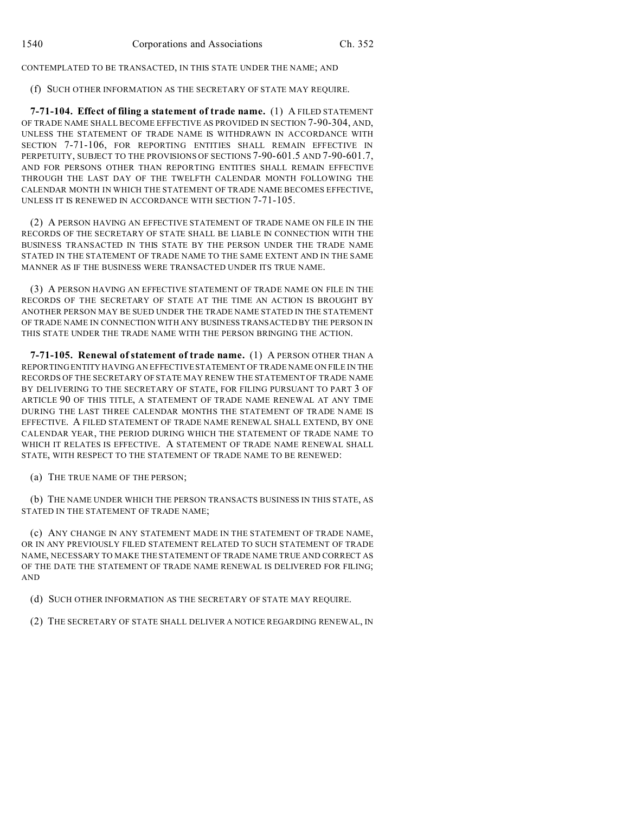CONTEMPLATED TO BE TRANSACTED, IN THIS STATE UNDER THE NAME; AND

(f) SUCH OTHER INFORMATION AS THE SECRETARY OF STATE MAY REQUIRE.

**7-71-104. Effect of filing a statement of trade name.** (1) A FILED STATEMENT OF TRADE NAME SHALL BECOME EFFECTIVE AS PROVIDED IN SECTION 7-90-304, AND, UNLESS THE STATEMENT OF TRADE NAME IS WITHDRAWN IN ACCORDANCE WITH SECTION 7-71-106, FOR REPORTING ENTITIES SHALL REMAIN EFFECTIVE IN PERPETUITY, SUBJECT TO THE PROVISIONS OF SECTIONS 7-90-601.5 AND 7-90-601.7, AND FOR PERSONS OTHER THAN REPORTING ENTITIES SHALL REMAIN EFFECTIVE THROUGH THE LAST DAY OF THE TWELFTH CALENDAR MONTH FOLLOWING THE CALENDAR MONTH IN WHICH THE STATEMENT OF TRADE NAME BECOMES EFFECTIVE, UNLESS IT IS RENEWED IN ACCORDANCE WITH SECTION 7-71-105.

(2) A PERSON HAVING AN EFFECTIVE STATEMENT OF TRADE NAME ON FILE IN THE RECORDS OF THE SECRETARY OF STATE SHALL BE LIABLE IN CONNECTION WITH THE BUSINESS TRANSACTED IN THIS STATE BY THE PERSON UNDER THE TRADE NAME STATED IN THE STATEMENT OF TRADE NAME TO THE SAME EXTENT AND IN THE SAME MANNER AS IF THE BUSINESS WERE TRANSACTED UNDER ITS TRUE NAME.

(3) A PERSON HAVING AN EFFECTIVE STATEMENT OF TRADE NAME ON FILE IN THE RECORDS OF THE SECRETARY OF STATE AT THE TIME AN ACTION IS BROUGHT BY ANOTHER PERSON MAY BE SUED UNDER THE TRADE NAME STATED IN THE STATEMENT OF TRADE NAME IN CONNECTION WITH ANY BUSINESS TRANSACTED BY THE PERSON IN THIS STATE UNDER THE TRADE NAME WITH THE PERSON BRINGING THE ACTION.

**7-71-105. Renewal of statement of trade name.** (1) A PERSON OTHER THAN A REPORTING ENTITY HAVING AN EFFECTIVE STATEMENT OF TRADE NAME ON FILE IN THE RECORDS OF THE SECRETARY OF STATE MAY RENEW THE STATEMENT OF TRADE NAME BY DELIVERING TO THE SECRETARY OF STATE, FOR FILING PURSUANT TO PART 3 OF ARTICLE 90 OF THIS TITLE, A STATEMENT OF TRADE NAME RENEWAL AT ANY TIME DURING THE LAST THREE CALENDAR MONTHS THE STATEMENT OF TRADE NAME IS EFFECTIVE. A FILED STATEMENT OF TRADE NAME RENEWAL SHALL EXTEND, BY ONE CALENDAR YEAR, THE PERIOD DURING WHICH THE STATEMENT OF TRADE NAME TO WHICH IT RELATES IS EFFECTIVE. A STATEMENT OF TRADE NAME RENEWAL SHALL STATE, WITH RESPECT TO THE STATEMENT OF TRADE NAME TO BE RENEWED:

(a) THE TRUE NAME OF THE PERSON;

(b) THE NAME UNDER WHICH THE PERSON TRANSACTS BUSINESS IN THIS STATE, AS STATED IN THE STATEMENT OF TRADE NAME;

(c) ANY CHANGE IN ANY STATEMENT MADE IN THE STATEMENT OF TRADE NAME, OR IN ANY PREVIOUSLY FILED STATEMENT RELATED TO SUCH STATEMENT OF TRADE NAME, NECESSARY TO MAKE THE STATEMENT OF TRADE NAME TRUE AND CORRECT AS OF THE DATE THE STATEMENT OF TRADE NAME RENEWAL IS DELIVERED FOR FILING; AND

(d) SUCH OTHER INFORMATION AS THE SECRETARY OF STATE MAY REQUIRE.

(2) THE SECRETARY OF STATE SHALL DELIVER A NOTICE REGARDING RENEWAL, IN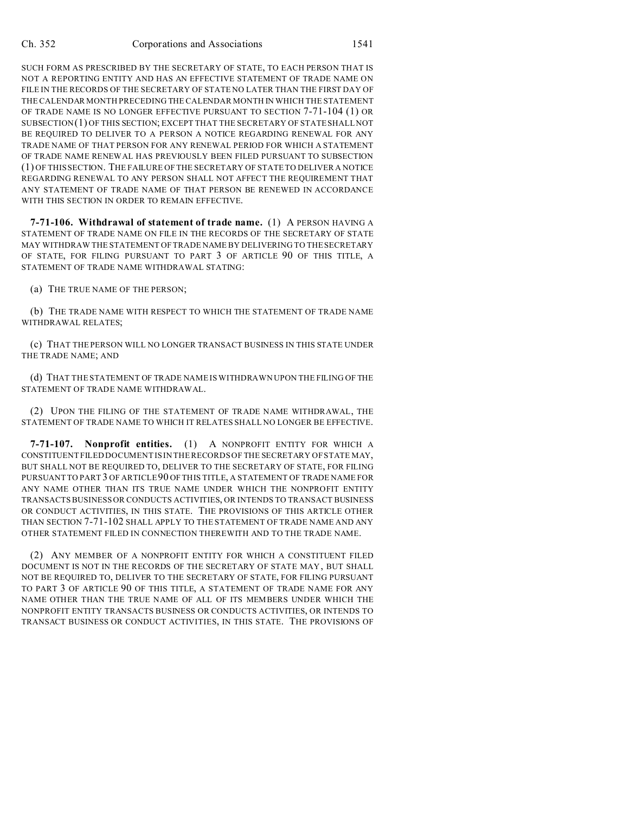SUCH FORM AS PRESCRIBED BY THE SECRETARY OF STATE, TO EACH PERSON THAT IS NOT A REPORTING ENTITY AND HAS AN EFFECTIVE STATEMENT OF TRADE NAME ON FILE IN THE RECORDS OF THE SECRETARY OF STATE NO LATER THAN THE FIRST DAY OF THE CALENDAR MONTH PRECEDING THE CALENDAR MONTH IN WHICH THE STATEMENT OF TRADE NAME IS NO LONGER EFFECTIVE PURSUANT TO SECTION 7-71-104 (1) OR SUBSECTION(1) OF THIS SECTION; EXCEPT THAT THE SECRETARY OF STATE SHALL NOT BE REQUIRED TO DELIVER TO A PERSON A NOTICE REGARDING RENEWAL FOR ANY TRADE NAME OF THAT PERSON FOR ANY RENEWAL PERIOD FOR WHICH A STATEMENT OF TRADE NAME RENEWAL HAS PREVIOUSLY BEEN FILED PURSUANT TO SUBSECTION (1) OF THIS SECTION. THE FAILURE OF THE SECRETARY OF STATE TO DELIVER A NOTICE REGARDING RENEWAL TO ANY PERSON SHALL NOT AFFECT THE REQUIREMENT THAT ANY STATEMENT OF TRADE NAME OF THAT PERSON BE RENEWED IN ACCORDANCE WITH THIS SECTION IN ORDER TO REMAIN EFFECTIVE.

**7-71-106. Withdrawal of statement of trade name.** (1) A PERSON HAVING A STATEMENT OF TRADE NAME ON FILE IN THE RECORDS OF THE SECRETARY OF STATE MAY WITHDRAW THE STATEMENT OF TRADE NAME BY DELIVERING TO THE SECRETARY OF STATE, FOR FILING PURSUANT TO PART 3 OF ARTICLE 90 OF THIS TITLE, A STATEMENT OF TRADE NAME WITHDRAWAL STATING:

(a) THE TRUE NAME OF THE PERSON;

(b) THE TRADE NAME WITH RESPECT TO WHICH THE STATEMENT OF TRADE NAME WITHDRAWAL RELATES;

(c) THAT THE PERSON WILL NO LONGER TRANSACT BUSINESS IN THIS STATE UNDER THE TRADE NAME; AND

(d) THAT THE STATEMENT OF TRADE NAME IS WITHDRAWN UPON THE FILING OF THE STATEMENT OF TRADE NAME WITHDRAWAL.

(2) UPON THE FILING OF THE STATEMENT OF TRADE NAME WITHDRAWAL, THE STATEMENT OF TRADE NAME TO WHICH IT RELATES SHALL NO LONGER BE EFFECTIVE.

**7-71-107. Nonprofit entities.** (1) A NONPROFIT ENTITY FOR WHICH A CONSTITUENT FILED DOCUMENT IS IN THE RECORDS OF THE SECRETARY OF STATE MAY, BUT SHALL NOT BE REQUIRED TO, DELIVER TO THE SECRETARY OF STATE, FOR FILING PURSUANT TO PART 3 OF ARTICLE 90 OF THIS TITLE, A STATEMENT OF TRADE NAME FOR ANY NAME OTHER THAN ITS TRUE NAME UNDER WHICH THE NONPROFIT ENTITY TRANSACTS BUSINESS OR CONDUCTS ACTIVITIES, OR INTENDS TO TRANSACT BUSINESS OR CONDUCT ACTIVITIES, IN THIS STATE. THE PROVISIONS OF THIS ARTICLE OTHER THAN SECTION 7-71-102 SHALL APPLY TO THE STATEMENT OF TRADE NAME AND ANY OTHER STATEMENT FILED IN CONNECTION THEREWITH AND TO THE TRADE NAME.

(2) ANY MEMBER OF A NONPROFIT ENTITY FOR WHICH A CONSTITUENT FILED DOCUMENT IS NOT IN THE RECORDS OF THE SECRETARY OF STATE MAY, BUT SHALL NOT BE REQUIRED TO, DELIVER TO THE SECRETARY OF STATE, FOR FILING PURSUANT TO PART 3 OF ARTICLE 90 OF THIS TITLE, A STATEMENT OF TRADE NAME FOR ANY NAME OTHER THAN THE TRUE NAME OF ALL OF ITS MEMBERS UNDER WHICH THE NONPROFIT ENTITY TRANSACTS BUSINESS OR CONDUCTS ACTIVITIES, OR INTENDS TO TRANSACT BUSINESS OR CONDUCT ACTIVITIES, IN THIS STATE. THE PROVISIONS OF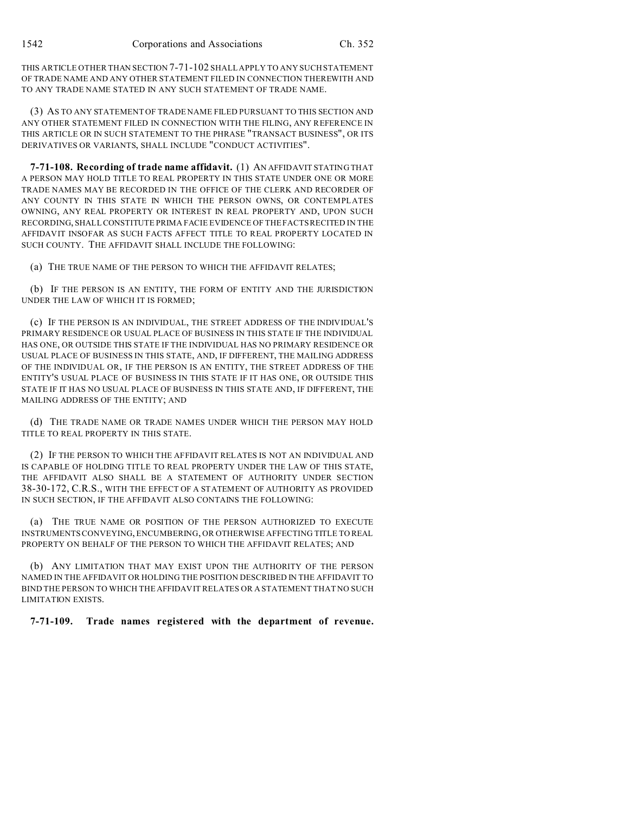THIS ARTICLE OTHER THAN SECTION 7-71-102 SHALL APPLY TO ANY SUCH STATEMENT OF TRADE NAME AND ANY OTHER STATEMENT FILED IN CONNECTION THEREWITH AND TO ANY TRADE NAME STATED IN ANY SUCH STATEMENT OF TRADE NAME.

(3) AS TO ANY STATEMENT OF TRADE NAME FILED PURSUANT TO THIS SECTION AND ANY OTHER STATEMENT FILED IN CONNECTION WITH THE FILING, ANY REFERENCE IN THIS ARTICLE OR IN SUCH STATEMENT TO THE PHRASE "TRANSACT BUSINESS", OR ITS DERIVATIVES OR VARIANTS, SHALL INCLUDE "CONDUCT ACTIVITIES".

**7-71-108. Recording of trade name affidavit.** (1) AN AFFIDAVIT STATING THAT A PERSON MAY HOLD TITLE TO REAL PROPERTY IN THIS STATE UNDER ONE OR MORE TRADE NAMES MAY BE RECORDED IN THE OFFICE OF THE CLERK AND RECORDER OF ANY COUNTY IN THIS STATE IN WHICH THE PERSON OWNS, OR CONTEMPLATES OWNING, ANY REAL PROPERTY OR INTEREST IN REAL PROPERTY AND, UPON SUCH RECORDING, SHALLCONSTITUTE PRIMA FACIE EVIDENCE OF THE FACTS RECITED IN THE AFFIDAVIT INSOFAR AS SUCH FACTS AFFECT TITLE TO REAL PROPERTY LOCATED IN SUCH COUNTY. THE AFFIDAVIT SHALL INCLUDE THE FOLLOWING:

(a) THE TRUE NAME OF THE PERSON TO WHICH THE AFFIDAVIT RELATES;

(b) IF THE PERSON IS AN ENTITY, THE FORM OF ENTITY AND THE JURISDICTION UNDER THE LAW OF WHICH IT IS FORMED;

(c) IF THE PERSON IS AN INDIVIDUAL, THE STREET ADDRESS OF THE INDIVIDUAL'S PRIMARY RESIDENCE OR USUAL PLACE OF BUSINESS IN THIS STATE IF THE INDIVIDUAL HAS ONE, OR OUTSIDE THIS STATE IF THE INDIVIDUAL HAS NO PRIMARY RESIDENCE OR USUAL PLACE OF BUSINESS IN THIS STATE, AND, IF DIFFERENT, THE MAILING ADDRESS OF THE INDIVIDUAL OR, IF THE PERSON IS AN ENTITY, THE STREET ADDRESS OF THE ENTITY'S USUAL PLACE OF BUSINESS IN THIS STATE IF IT HAS ONE, OR OUTSIDE THIS STATE IF IT HAS NO USUAL PLACE OF BUSINESS IN THIS STATE AND, IF DIFFERENT, THE MAILING ADDRESS OF THE ENTITY; AND

(d) THE TRADE NAME OR TRADE NAMES UNDER WHICH THE PERSON MAY HOLD TITLE TO REAL PROPERTY IN THIS STATE.

(2) IF THE PERSON TO WHICH THE AFFIDAVIT RELATES IS NOT AN INDIVIDUAL AND IS CAPABLE OF HOLDING TITLE TO REAL PROPERTY UNDER THE LAW OF THIS STATE, THE AFFIDAVIT ALSO SHALL BE A STATEMENT OF AUTHORITY UNDER SECTION 38-30-172, C.R.S., WITH THE EFFECT OF A STATEMENT OF AUTHORITY AS PROVIDED IN SUCH SECTION, IF THE AFFIDAVIT ALSO CONTAINS THE FOLLOWING:

(a) THE TRUE NAME OR POSITION OF THE PERSON AUTHORIZED TO EXECUTE INSTRUMENTS CONVEYING, ENCUMBERING, OR OTHERWISE AFFECTING TITLE TO REAL PROPERTY ON BEHALF OF THE PERSON TO WHICH THE AFFIDAVIT RELATES; AND

(b) ANY LIMITATION THAT MAY EXIST UPON THE AUTHORITY OF THE PERSON NAMED IN THE AFFIDAVIT OR HOLDING THE POSITION DESCRIBED IN THE AFFIDAVIT TO BIND THE PERSON TO WHICH THE AFFIDAVIT RELATES OR A STATEMENT THAT NO SUCH LIMITATION EXISTS.

**7-71-109. Trade names registered with the department of revenue.**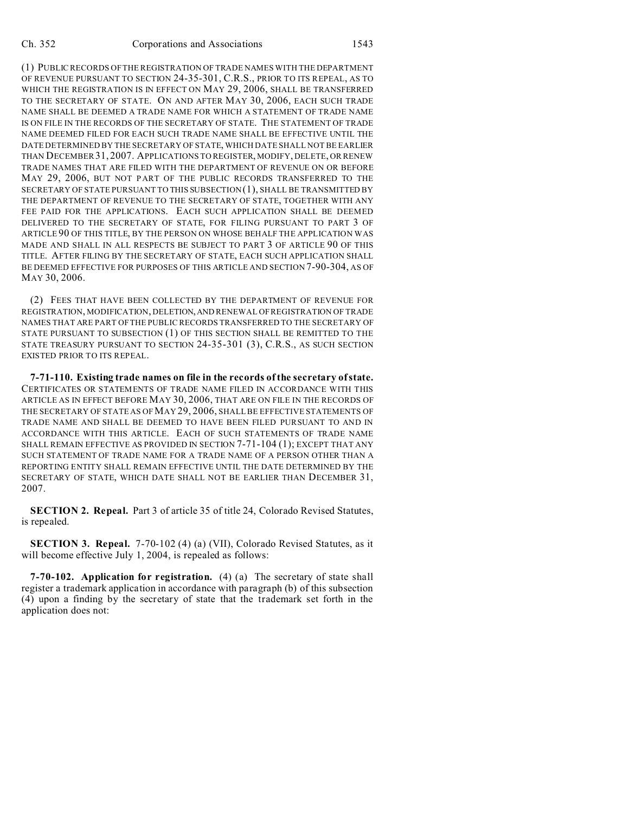(1) PUBLIC RECORDS OF THE REGISTRATION OF TRADE NAMES WITH THE DEPARTMENT OF REVENUE PURSUANT TO SECTION 24-35-301, C.R.S., PRIOR TO ITS REPEAL, AS TO WHICH THE REGISTRATION IS IN EFFECT ON MAY 29, 2006, SHALL BE TRANSFERRED TO THE SECRETARY OF STATE. ON AND AFTER MAY 30, 2006, EACH SUCH TRADE NAME SHALL BE DEEMED A TRADE NAME FOR WHICH A STATEMENT OF TRADE NAME IS ON FILE IN THE RECORDS OF THE SECRETARY OF STATE. THE STATEMENT OF TRADE NAME DEEMED FILED FOR EACH SUCH TRADE NAME SHALL BE EFFECTIVE UNTIL THE DATE DETERMINED BY THE SECRETARY OF STATE, WHICH DATE SHALL NOT BE EARLIER THAN DECEMBER 31, 2007. APPLICATIONS TO REGISTER, MODIFY, DELETE, OR RENEW TRADE NAMES THAT ARE FILED WITH THE DEPARTMENT OF REVENUE ON OR BEFORE MAY 29, 2006, BUT NOT PART OF THE PUBLIC RECORDS TRANSFERRED TO THE SECRETARY OF STATE PURSUANT TO THIS SUBSECTION (1), SHALL BE TRANSMITTED BY THE DEPARTMENT OF REVENUE TO THE SECRETARY OF STATE, TOGETHER WITH ANY FEE PAID FOR THE APPLICATIONS. EACH SUCH APPLICATION SHALL BE DEEMED DELIVERED TO THE SECRETARY OF STATE, FOR FILING PURSUANT TO PART 3 OF ARTICLE 90 OF THIS TITLE, BY THE PERSON ON WHOSE BEHALF THE APPLICATION WAS MADE AND SHALL IN ALL RESPECTS BE SUBJECT TO PART 3 OF ARTICLE 90 OF THIS TITLE. AFTER FILING BY THE SECRETARY OF STATE, EACH SUCH APPLICATION SHALL BE DEEMED EFFECTIVE FOR PURPOSES OF THIS ARTICLE AND SECTION 7-90-304, AS OF MAY 30, 2006.

(2) FEES THAT HAVE BEEN COLLECTED BY THE DEPARTMENT OF REVENUE FOR REGISTRATION, MODIFICATION, DELETION,AND RENEWAL OF REGISTRATION OF TRADE NAMES THAT ARE PART OF THE PUBLIC RECORDS TRANSFERRED TO THE SECRETARY OF STATE PURSUANT TO SUBSECTION (1) OF THIS SECTION SHALL BE REMITTED TO THE STATE TREASURY PURSUANT TO SECTION 24-35-301 (3), C.R.S., AS SUCH SECTION EXISTED PRIOR TO ITS REPEAL.

**7-71-110. Existing trade names on file in the records of the secretary of state.** CERTIFICATES OR STATEMENTS OF TRADE NAME FILED IN ACCORDANCE WITH THIS ARTICLE AS IN EFFECT BEFORE MAY 30, 2006, THAT ARE ON FILE IN THE RECORDS OF THE SECRETARY OF STATE AS OF MAY 29, 2006, SHALL BE EFFECTIVE STATEMENTS OF TRADE NAME AND SHALL BE DEEMED TO HAVE BEEN FILED PURSUANT TO AND IN ACCORDANCE WITH THIS ARTICLE. EACH OF SUCH STATEMENTS OF TRADE NAME SHALL REMAIN EFFECTIVE AS PROVIDED IN SECTION 7-71-104 (1); EXCEPT THAT ANY SUCH STATEMENT OF TRADE NAME FOR A TRADE NAME OF A PERSON OTHER THAN A REPORTING ENTITY SHALL REMAIN EFFECTIVE UNTIL THE DATE DETERMINED BY THE SECRETARY OF STATE, WHICH DATE SHALL NOT BE EARLIER THAN DECEMBER 31, 2007.

**SECTION 2. Repeal.** Part 3 of article 35 of title 24, Colorado Revised Statutes, is repealed.

**SECTION 3. Repeal.** 7-70-102 (4) (a) (VII), Colorado Revised Statutes, as it will become effective July 1, 2004, is repealed as follows:

**7-70-102. Application for registration.** (4) (a) The secretary of state shall register a trademark application in accordance with paragraph (b) of this subsection (4) upon a finding by the secretary of state that the trademark set forth in the application does not: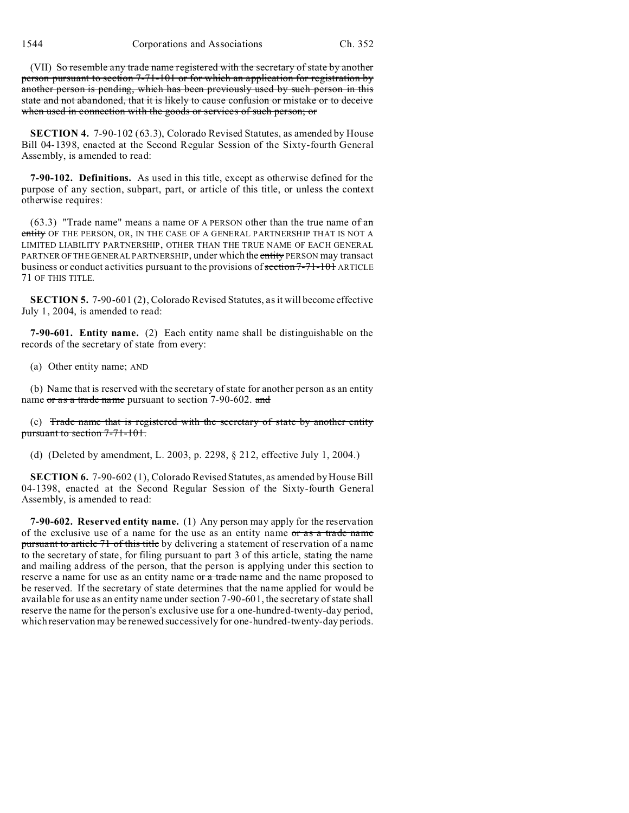(VII) So resemble any trade name registered with the secretary of state by another person pursuant to section 7-71-101 or for which an application for registration by another person is pending, which has been previously used by such person in this state and not abandoned, that it is likely to cause confusion or mistake or to deceive when used in connection with the goods or services of such person; or

**SECTION 4.** 7-90-102 (63.3), Colorado Revised Statutes, as amended by House Bill 04-1398, enacted at the Second Regular Session of the Sixty-fourth General Assembly, is amended to read:

**7-90-102. Definitions.** As used in this title, except as otherwise defined for the purpose of any section, subpart, part, or article of this title, or unless the context otherwise requires:

 $(63.3)$  "Trade name" means a name OF A PERSON other than the true name  $of an$ entity OF THE PERSON, OR, IN THE CASE OF A GENERAL PARTNERSHIP THAT IS NOT A LIMITED LIABILITY PARTNERSHIP, OTHER THAN THE TRUE NAME OF EACH GENERAL PARTNER OF THE GENERAL PARTNERSHIP, under which the entity PERSON may transact business or conduct activities pursuant to the provisions of section 7-71-101 ARTICLE 71 OF THIS TITLE.

**SECTION 5.** 7-90-601 (2), Colorado Revised Statutes, as it will become effective July 1, 2004, is amended to read:

**7-90-601. Entity name.** (2) Each entity name shall be distinguishable on the records of the secretary of state from every:

(a) Other entity name; AND

(b) Name that is reserved with the secretary of state for another person as an entity name or as a trade name pursuant to section 7-90-602. and

(c) Trade name that is registered with the secretary of state by another entity pursuant to section 7-71-101.

(d) (Deleted by amendment, L. 2003, p. 2298, § 212, effective July 1, 2004.)

**SECTION 6.** 7-90-602 (1), Colorado Revised Statutes, as amended by House Bill 04-1398, enacted at the Second Regular Session of the Sixty-fourth General Assembly, is amended to read:

**7-90-602. Reserved entity name.** (1) Any person may apply for the reservation of the exclusive use of a name for the use as an entity name or as a trade name pursuant to article 71 of this title by delivering a statement of reservation of a name to the secretary of state, for filing pursuant to part 3 of this article, stating the name and mailing address of the person, that the person is applying under this section to reserve a name for use as an entity name or a trade name and the name proposed to be reserved. If the secretary of state determines that the name applied for would be available for use as an entity name under section 7-90-601, the secretary of state shall reserve the name for the person's exclusive use for a one-hundred-twenty-day period, which reservation may be renewed successively for one-hundred-twenty-day periods.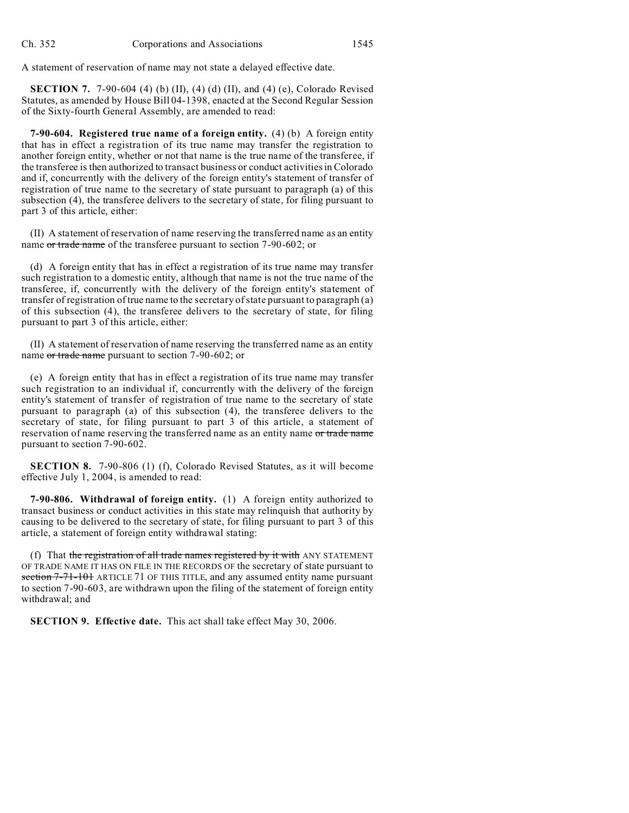A statement of reservation of name may not state a delayed effective date.

**SECTION 7.** 7-90-604 (4) (b) (II), (4) (d) (II), and (4) (e), Colorado Revised Statutes, as amended by House Bill 04-1398, enacted at the Second Regular Session of the Sixty-fourth General Assembly, are amended to read:

**7-90-604. Registered true name of a foreign entity.** (4) (b) A foreign entity that has in effect a registration of its true name may transfer the registration to another foreign entity, whether or not that name is the true name of the transferee, if the transferee is then authorized to transact business or conduct activities in Colorado and if, concurrently with the delivery of the foreign entity's statement of transfer of registration of true name to the secretary of state pursuant to paragraph (a) of this subsection (4), the transferee delivers to the secretary of state, for filing pursuant to part 3 of this article, either:

(II) A statement of reservation of name reserving the transferred name as an entity name or trade name of the transferee pursuant to section 7-90-602; or

(d) A foreign entity that has in effect a registration of its true name may transfer such registration to a domestic entity, although that name is not the true name of the transferee, if, concurrently with the delivery of the foreign entity's statement of transfer of registration of true name to the secretary of state pursuant to paragraph (a) of this subsection (4), the transferee delivers to the secretary of state, for filing pursuant to part 3 of this article, either:

(II) A statement of reservation of name reserving the transferred name as an entity name or trade name pursuant to section 7-90-602; or

(e) A foreign entity that has in effect a registration of its true name may transfer such registration to an individual if, concurrently with the delivery of the foreign entity's statement of transfer of registration of true name to the secretary of state pursuant to paragraph (a) of this subsection (4), the transferee delivers to the secretary of state, for filing pursuant to part 3 of this article, a statement of reservation of name reserving the transferred name as an entity name or trade name pursuant to section 7-90-602.

**SECTION 8.** 7-90-806 (1) (f), Colorado Revised Statutes, as it will become effective July 1, 2004, is amended to read:

**7-90-806. Withdrawal of foreign entity.** (1) A foreign entity authorized to transact business or conduct activities in this state may relinquish that authority by causing to be delivered to the secretary of state, for filing pursuant to part 3 of this article, a statement of foreign entity withdrawal stating:

(f) That the registration of all trade names registered by it with ANY STATEMENT OF TRADE NAME IT HAS ON FILE IN THE RECORDS OF the secretary of state pursuant to section 7-71-101 ARTICLE 71 OF THIS TITLE, and any assumed entity name pursuant to section 7-90-603, are withdrawn upon the filing of the statement of foreign entity withdrawal; and

**SECTION 9. Effective date.** This act shall take effect May 30, 2006.